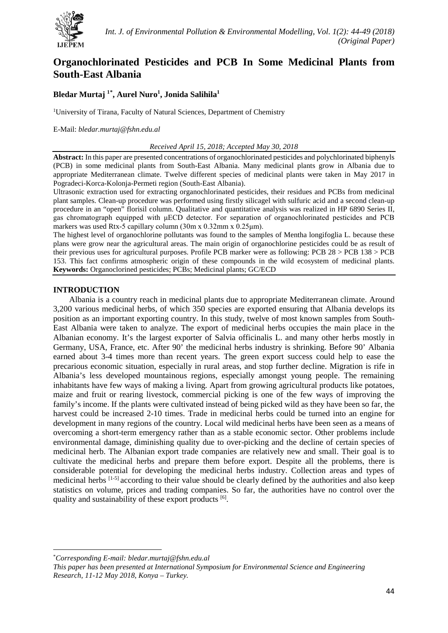

# **Organochlorinated Pesticides and PCB In Some Medicinal Plants from South-East Albania**

## **Bledar Murtaj 1[\\*](#page-0-0) , Aurel Nuro1 , Jonida Salihila1**

<sup>1</sup>University of Tirana, Faculty of Natural Sciences, Department of Chemistry

#### E-Mail: *bledar.murtaj@fshn.edu.al*

#### *Received April 15, 2018; Accepted May 30, 2018*

**Abstract:** In this paper are presented concentrations of organochlorinated pesticides and polychlorinated biphenyls (PCB) in some medicinal plants from South-East Albania. Many medicinal plants grow in Albania due to appropriate Mediterranean climate. Twelve different species of medicinal plants were taken in May 2017 in Pogradeci-Korca-Kolonja-Permeti region (South-East Albania).

Ultrasonic extraction used for extracting organochlorinated pesticides, their residues and PCBs from medicinal plant samples. Clean-up procedure was performed using firstly silicagel with sulfuric acid and a second clean-up procedure in an "open" florisil column. Qualitative and quantitative analysis was realized in HP 6890 Series II, gas chromatograph equipped with μECD detector. For separation of organochlorinated pesticides and PCB markers was used Rtx-5 capillary column (30m x 0.32mm x 0.25μm).

The highest level of organochlorine pollutants was found to the samples of Mentha longifoglia L. because these plans were grow near the agricultural areas. The main origin of organochlorine pesticides could be as result of their previous uses for agricultural purposes. Profile PCB marker were as following: PCB 28 > PCB 138 > PCB 153. This fact confirms atmospheric origin of these compounds in the wild ecosystem of medicinal plants. **Keywords:** Organoclorined pesticides; PCBs; Medicinal plants; GC/ECD

#### **INTRODUCTION**

Albania is a country reach in medicinal plants due to appropriate Mediterranean climate. Around 3,200 various medicinal herbs, of which 350 species are exported ensuring that Albania develops its position as an important exporting country. In this study, twelve of most known samples from South-East Albania were taken to analyze. The export of medicinal herbs occupies the main place in the Albanian economy. It's the largest exporter of Salvia officinalis L. and many other herbs mostly in Germany, USA, France, etc. After 90' the medicinal herbs industry is shrinking. Before 90' Albania earned about 3-4 times more than recent years. The green export success could help to ease the precarious economic situation, especially in rural areas, and stop further decline. Migration is rife in Albania's less developed mountainous regions, especially amongst young people. The remaining inhabitants have few ways of making a living. Apart from growing agricultural products like potatoes, maize and fruit or rearing livestock, commercial picking is one of the few ways of improving the family's income. If the plants were cultivated instead of being picked wild as they have been so far, the harvest could be increased 2-10 times. Trade in medicinal herbs could be turned into an engine for development in many regions of the country. Local wild medicinal herbs have been seen as a means of overcoming a short-term emergency rather than as a stable economic sector. Other problems include environmental damage, diminishing quality due to over-picking and the decline of certain species of medicinal herb. The Albanian export trade companies are relatively new and small. Their goal is to cultivate the medicinal herbs and prepare them before export. Despite all the problems, there is considerable potential for developing the medicinal herbs industry. Collection areas and types of medicinal herbs [1-5] according to their value should be clearly defined by the authorities and also keep statistics on volume, prices and trading companies. So far, the authorities have no control over the quality and sustainability of these export products [6].

l

<span id="page-0-0"></span><sup>\*</sup> *Corresponding E-mail: bledar.murtaj@fshn.edu.al*

*This paper has been presented at International Symposium for Environmental Science and Engineering Research, 11-12 May 2018, Konya – Turkey.*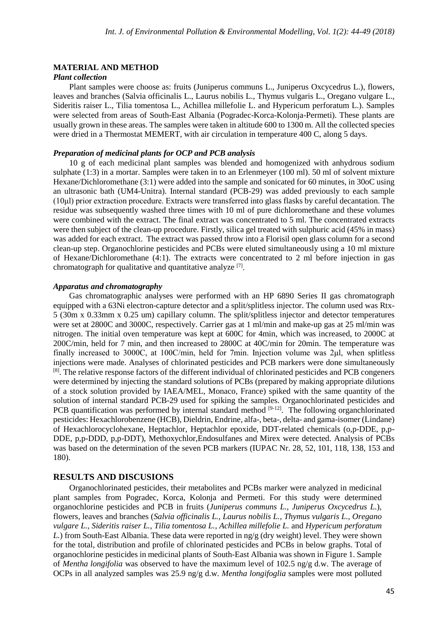#### **MATERIAL AND METHOD**

#### *Plant collection*

Plant samples were choose as: fruits (Juniperus communs L., Juniperus Oxcycedrus L.), flowers, leaves and branches (Salvia officinalis L., Laurus nobilis L., Thymus vulgaris L., Oregano vulgare L., Sideritis raiser L., Tilia tomentosa L., Achillea millefolie L. and Hypericum perforatum L.). Samples were selected from areas of South-East Albania (Pogradec-Korca-Kolonja-Permeti). These plants are usually grown in these areas. The samples were taken in altitude 600 to 1300 m. All the collected species were dried in a Thermostat MEMERT, with air circulation in temperature 400 C, along 5 days.

#### *Preparation of medicinal plants for OCP and PCB analysis*

10 g of each medicinal plant samples was blended and homogenized with anhydrous sodium sulphate (1:3) in a mortar. Samples were taken in to an Erlenmeyer (100 ml). 50 ml of solvent mixture Hexane/Dichloromethane (3:1) were added into the sample and sonicated for 60 minutes, in 30oC using an ultrasonic bath (UM4-Unitra). Internal standard (PCB-29) was added previously to each sample (10μl) prior extraction procedure. Extracts were transferred into glass flasks by careful decantation. The residue was subsequently washed three times with 10 ml of pure dichloromethane and these volumes were combined with the extract. The final extract was concentrated to 5 ml. The concentrated extracts were then subject of the clean-up procedure. Firstly, silica gel treated with sulphuric acid (45% in mass) was added for each extract. The extract was passed throw into a Florisil open glass column for a second clean-up step. Organochlorine pesticides and PCBs were eluted simultaneously using a 10 ml mixture of Hexane/Dichloromethane (4:1). The extracts were concentrated to 2 ml before injection in gas chromatograph for qualitative and quantitative analyze [7].

#### *Apparatus and chromatography*

Gas chromatographic analyses were performed with an HP 6890 Series II gas chromatograph equipped with a 63Ni electron-capture detector and a split/splitless injector. The column used was Rtx-5 (30m x 0.33mm x 0.25 um) capillary column. The split/splitless injector and detector temperatures were set at 2800C and 3000C, respectively. Carrier gas at 1 ml/min and make-up gas at 25 ml/min was nitrogen. The initial oven temperature was kept at 600C for 4min, which was increased, to 2000C at 200C/min, held for 7 min, and then increased to 2800C at 40C/min for 20min. The temperature was finally increased to 3000C, at 100C/min, held for 7min. Injection volume was 2μl, when splitless injections were made. Analyses of chlorinated pesticides and PCB markers were done simultaneously <sup>[8]</sup>. The relative response factors of the different individual of chlorinated pesticides and PCB congeners were determined by injecting the standard solutions of PCBs (prepared by making appropriate dilutions of a stock solution provided by IAEA/MEL, Monaco, France) spiked with the same quantity of the solution of internal standard PCB-29 used for spiking the samples. Organochlorinated pesticides and PCB quantification was performed by internal standard method  $[9-12]$ . The following organchlorinated pesticides: Hexachlorobenzene (HCB), Dieldrin, Endrine, alfa-, beta-, delta- and gama-isomer (Lindane) of Hexachlorocyclohexane, Heptachlor, Heptachlor epoxide, DDT-related chemicals (o,p-DDE, p,p-DDE, p,p-DDD, p,p-DDT), Methoxychlor,Endosulfanes and Mirex were detected. Analysis of PCBs was based on the determination of the seven PCB markers (IUPAC Nr. 28, 52, 101, 118, 138, 153 and 180).

#### **RESULTS AND DISCUSIONS**

Organochlorinated pesticides, their metabolites and PCBs marker were analyzed in medicinal plant samples from Pogradec, Korca, Kolonja and Permeti. For this study were determined organochlorine pesticides and PCB in fruits (*Juniperus communs L., Juniperus Oxcycedrus L.*), flowers, leaves and branches (*Salvia officinalis L., Laurus nobilis L., Thymus vulgaris L., Oregano vulgare L., Sideritis raiser L., Tilia tomentosa L., Achillea millefolie L.* and *Hypericum perforatum L.*) from South-East Albania. These data were reported in ng/g (dry weight) level. They were shown for the total, distribution and profile of chlorinated pesticides and PCBs in below graphs. Total of organochlorine pesticides in medicinal plants of South-East Albania was shown in Figure 1. Sample of *Mentha longifolia* was observed to have the maximum level of 102.5 ng/g d.w. The average of OCPs in all analyzed samples was 25.9 ng/g d.w. *Mentha longifoglia* samples were most polluted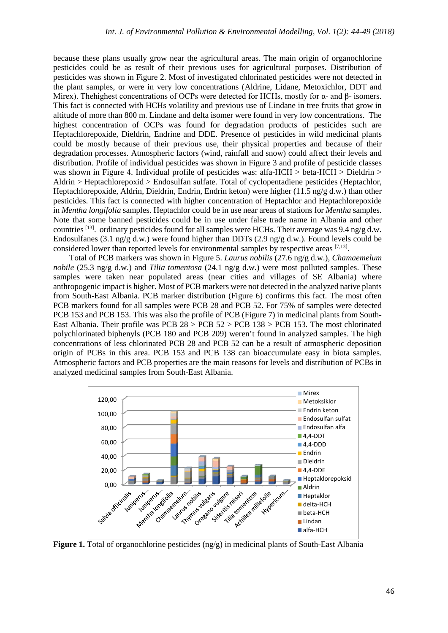because these plans usually grow near the agricultural areas. The main origin of organochlorine pesticides could be as result of their previous uses for agricultural purposes. Distribution of pesticides was shown in Figure 2. Most of investigated chlorinated pesticides were not detected in the plant samples, or were in very low concentrations (Aldrine, Lidane, Metoxichlor, DDT and Mirex). Thehighest concentrations of OCPs were detected for HCHs, mostly for α- and β- isomers. This fact is connected with HCHs volatility and previous use of Lindane in tree fruits that grow in altitude of more than 800 m. Lindane and delta isomer were found in very low concentrations. The highest concentration of OCPs was found for degradation products of pesticides such are Heptachlorepoxide, Dieldrin, Endrine and DDE. Presence of pesticides in wild medicinal plants could be mostly because of their previous use, their physical properties and because of their degradation processes. Atmospheric factors (wind, rainfall and snow) could affect their levels and distribution. Profile of individual pesticides was shown in Figure 3 and profile of pesticide classes was shown in Figure 4. Individual profile of pesticides was: alfa-HCH > beta-HCH > Dieldrin > Aldrin > Heptachlorepoxid > Endosulfan sulfate. Total of cyclopentadiene pesticides (Heptachlor, Heptachlorepoxide, Aldrin, Dieldrin, Endrin, Endrin keton) were higher (11.5 ng/g d.w.) than other pesticides. This fact is connected with higher concentration of Heptachlor and Heptachlorepoxide in *Mentha longifolia* samples. Heptachlor could be in use near areas of stations for *Mentha* samples. Note that some banned pesticides could be in use under false trade name in Albania and other countries <sup>[13]</sup>. ordinary pesticides found for all samples were HCHs. Their average was 9.4 ng/g d.w. Endosulfanes (3.1 ng/g d.w.) were found higher than DDTs (2.9 ng/g d.w.). Found levels could be considered lower than reported levels for environmental samples by respective areas [7,13].

Total of PCB markers was shown in Figure 5. *Laurus nobilis* (27.6 ng/g d.w.), *Chamaemelum nobile* (25.3 ng/g d.w.) and *Tilia tomentosa* (24.1 ng/g d.w.) were most polluted samples. These samples were taken near populated areas (near cities and villages of SE Albania) where anthropogenic impact is higher. Most of PCB markers were not detected in the analyzed native plants from South-East Albania. PCB marker distribution (Figure 6) confirms this fact. The most often PCB markers found for all samples were PCB 28 and PCB 52. For 75% of samples were detected PCB 153 and PCB 153. This was also the profile of PCB (Figure 7) in medicinal plants from South-East Albania. Their profile was PCB  $28 > PCB$   $52 > PCB$   $138 > PCB$  153. The most chlorinated polychlorinated biphenyls (PCB 180 and PCB 209) weren't found in analyzed samples. The high concentrations of less chlorinated PCB 28 and PCB 52 can be a result of atmospheric deposition origin of PCBs in this area. PCB 153 and PCB 138 can bioaccumulate easy in biota samples. Atmospheric factors and PCB properties are the main reasons for levels and distribution of PCBs in analyzed medicinal samples from South-East Albania.



**Figure 1.** Total of organochlorine pesticides (ng/g) in medicinal plants of South-East Albania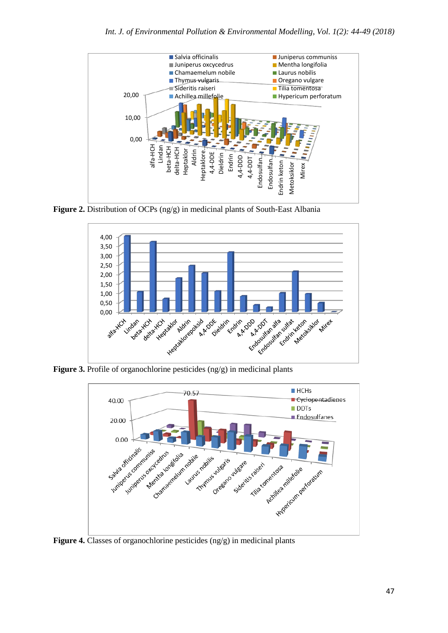

**Figure 2.** Distribution of OCPs (ng/g) in medicinal plants of South-East Albania



**Figure 3.** Profile of organochlorine pesticides (ng/g) in medicinal plants



**Figure 4.** Classes of organochlorine pesticides (ng/g) in medicinal plants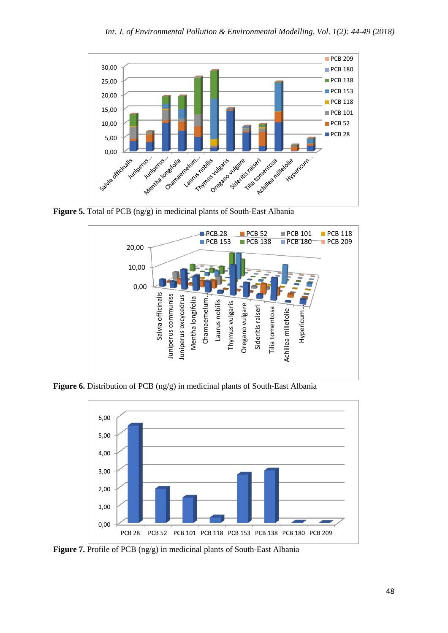

**Figure 5.** Total of PCB (ng/g) in medicinal plants of South-East Albania



**Figure 6.** Distribution of PCB (ng/g) in medicinal plants of South-East Albania



**Figure 7.** Profile of PCB (ng/g) in medicinal plants of South-East Albania